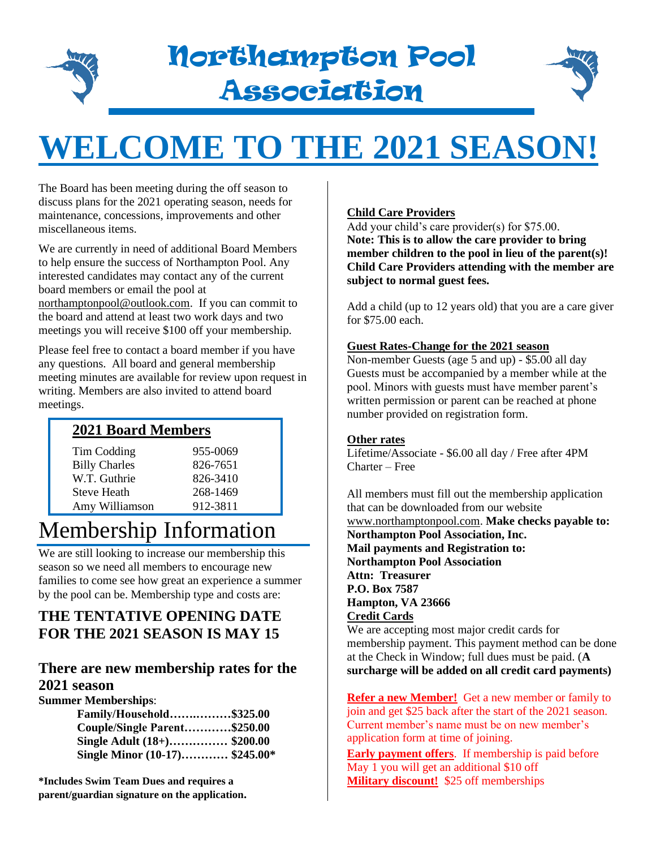

# Northampton Pool Association



# **WELCOME TO THE 2021 SEASON!**

The Board has been meeting during the off season to discuss plans for the 2021 operating season, needs for maintenance, concessions, improvements and other miscellaneous items.

We are currently in need of additional Board Members to help ensure the success of Northampton Pool. Any interested candidates may contact any of the current board members or email the pool at

[northamptonpool@outlook.com.](mailto:northamptonpool@outlook.com) If you can commit to the board and attend at least two work days and two meetings you will receive \$100 off your membership.

Please feel free to contact a board member if you have any questions. All board and general membership meeting minutes are available for review upon request in writing. Members are also invited to attend board meetings.

### **2021 Board Members**

| 955-0069 |
|----------|
| 826-7651 |
| 826-3410 |
| 268-1469 |
| 912-3811 |
|          |

## Membership Information

We are still looking to increase our membership this season so we need all members to encourage new families to come see how great an experience a summer by the pool can be. Membership type and costs are:

### **THE TENTATIVE OPENING DATE FOR THE 2021 SEASON IS MAY 15**

### **There are new membership rates for the 2021 season**

**Summer Memberships**:

| Family/Household\$325.00       |  |
|--------------------------------|--|
| Couple/Single Parent\$250.00   |  |
| Single Adult (18+)\$200.00     |  |
| Single Minor (10-17) \$245.00* |  |

**\*Includes Swim Team Dues and requires a parent/guardian signature on the application.** 

#### **Child Care Providers**

Add your child's care provider(s) for \$75.00. **Note: This is to allow the care provider to bring member children to the pool in lieu of the parent(s)! Child Care Providers attending with the member are subject to normal guest fees.**

Add a child (up to 12 years old) that you are a care giver for \$75.00 each.

#### **Guest Rates-Change for the 2021 season**

Non-member Guests (age 5 and up) - \$5.00 all day Guests must be accompanied by a member while at the pool. Minors with guests must have member parent's written permission or parent can be reached at phone number provided on registration form.

#### **Other rates**

Lifetime/Associate - \$6.00 all day / Free after 4PM Charter – Free

All members must fill out the membership application that can be downloaded from our website [www.northamptonpool.com.](http://www.northamptonpool.com/) **Make checks payable to: Northampton Pool Association, Inc. Mail payments and Registration to: Northampton Pool Association Attn: Treasurer P.O. Box 7587 Hampton, VA 23666 Credit Cards**

We are accepting most major credit cards for membership payment. This payment method can be done at the Check in Window; full dues must be paid. (**A surcharge will be added on all credit card payments)**

**Refer a new Member!** Get a new member or family to join and get \$25 back after the start of the 2021 season. Current member's name must be on new member's application form at time of joining.

**Early payment offers**. If membership is paid before May 1 you will get an additional \$10 off **Military discount!** \$25 off memberships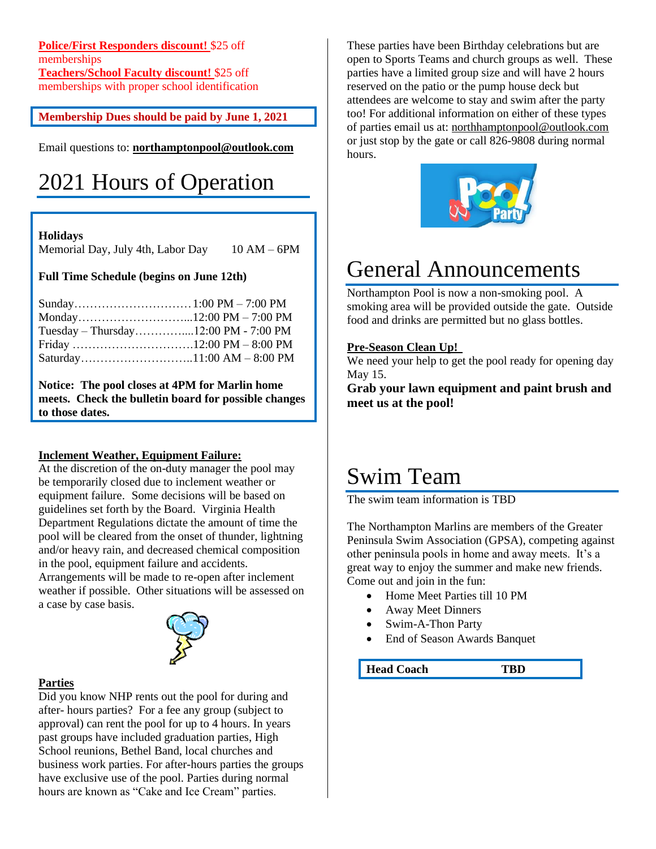**Police/First Responders discount!** \$25 off memberships **Teachers/School Faculty discount!** \$25 off memberships with proper school identification

**Membership Dues should be paid by June 1, 2021**

Email questions to: **[northamptonpool@outlook.com](mailto:northamptonpool@outlook.com)**

# 2021 Hours of Operation

#### **Holidays**

Memorial Day, July 4th, Labor Day 10 AM – 6PM

#### **Full Time Schedule (begins on June 12th)**

#### **Notice: The pool closes at 4PM for Marlin home meets. Check the bulletin board for possible changes to those dates.**

#### **Inclement Weather, Equipment Failure:**

At the discretion of the on-duty manager the pool may be temporarily closed due to inclement weather or equipment failure. Some decisions will be based on guidelines set forth by the Board. Virginia Health Department Regulations dictate the amount of time the pool will be cleared from the onset of thunder, lightning and/or heavy rain, and decreased chemical composition in the pool, equipment failure and accidents. Arrangements will be made to re-open after inclement weather if possible. Other situations will be assessed on a case by case basis.



#### **Parties**

Did you know NHP rents out the pool for during and after- hours parties? For a fee any group (subject to approval) can rent the pool for up to 4 hours. In years past groups have included graduation parties, High School reunions, Bethel Band, local churches and business work parties. For after-hours parties the groups have exclusive use of the pool. Parties during normal hours are known as "Cake and Ice Cream" parties.

These parties have been Birthday celebrations but are open to Sports Teams and church groups as well. These parties have a limited group size and will have 2 hours reserved on the patio or the pump house deck but attendees are welcome to stay and swim after the party too! For additional information on either of these types of parties email us at: [northhamptonpool@outlook.com](mailto:northhamptonpool@outlook.com) or just stop by the gate or call 826-9808 during normal hours.



### General Announcements

Northampton Pool is now a non-smoking pool. A smoking area will be provided outside the gate. Outside food and drinks are permitted but no glass bottles.

#### **Pre-Season Clean Up!**

We need your help to get the pool ready for opening day May 15.

**Grab your lawn equipment and paint brush and meet us at the pool!**

### Swim Team

The swim team information is TBD

The Northampton Marlins are members of the Greater Peninsula Swim Association (GPSA), competing against other peninsula pools in home and away meets. It's a great way to enjoy the summer and make new friends. Come out and join in the fun:

- Home Meet Parties till 10 PM
- Away Meet Dinners
- Swim-A-Thon Party
- End of Season Awards Banquet

**Head Coach TBD**